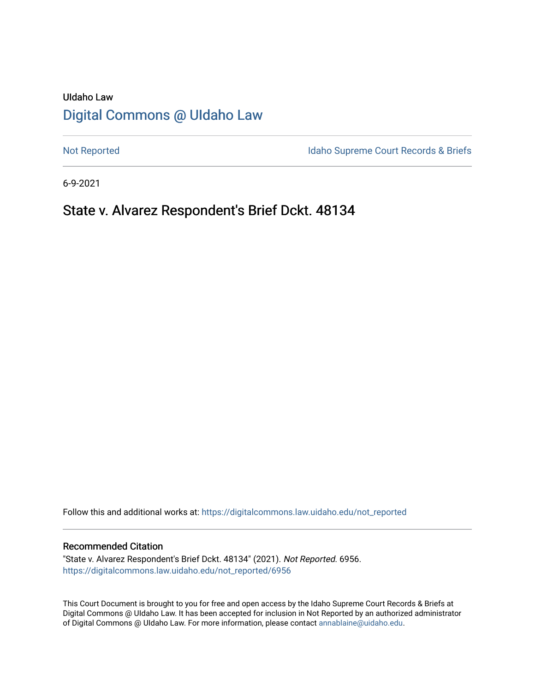# UIdaho Law [Digital Commons @ UIdaho Law](https://digitalcommons.law.uidaho.edu/)

[Not Reported](https://digitalcommons.law.uidaho.edu/not_reported) **Idaho Supreme Court Records & Briefs** 

6-9-2021

# State v. Alvarez Respondent's Brief Dckt. 48134

Follow this and additional works at: [https://digitalcommons.law.uidaho.edu/not\\_reported](https://digitalcommons.law.uidaho.edu/not_reported?utm_source=digitalcommons.law.uidaho.edu%2Fnot_reported%2F6956&utm_medium=PDF&utm_campaign=PDFCoverPages) 

### Recommended Citation

"State v. Alvarez Respondent's Brief Dckt. 48134" (2021). Not Reported. 6956. [https://digitalcommons.law.uidaho.edu/not\\_reported/6956](https://digitalcommons.law.uidaho.edu/not_reported/6956?utm_source=digitalcommons.law.uidaho.edu%2Fnot_reported%2F6956&utm_medium=PDF&utm_campaign=PDFCoverPages)

This Court Document is brought to you for free and open access by the Idaho Supreme Court Records & Briefs at Digital Commons @ UIdaho Law. It has been accepted for inclusion in Not Reported by an authorized administrator of Digital Commons @ UIdaho Law. For more information, please contact [annablaine@uidaho.edu](mailto:annablaine@uidaho.edu).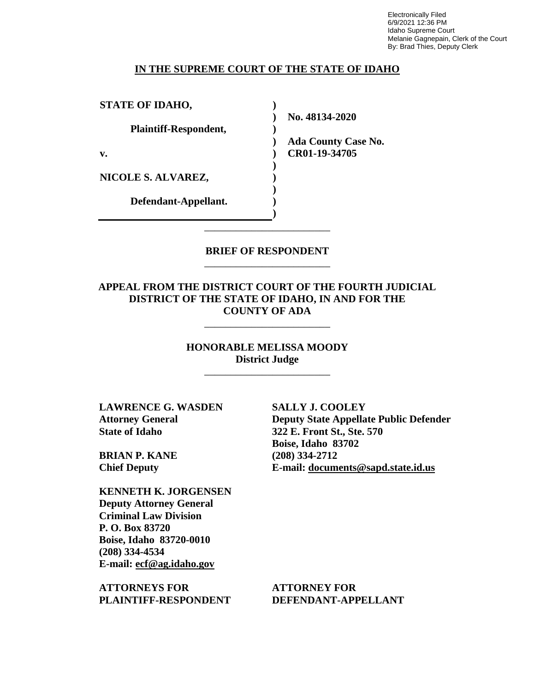Electronically Filed 6/9/2021 12:36 PM Idaho Supreme Court Melanie Gagnepain, Clerk of the Court By: Brad Thies, Deputy Clerk

### **IN THE SUPREME COURT OF THE STATE OF IDAHO**

**) ) ) ) ) ) ) ) ) )**

**STATE OF IDAHO,**

**Plaintiff-Respondent,**

**v.** 

**NICOLE S. ALVAREZ,** 

**Defendant-Appellant.**

**No. 48134-2020** 

**Ada County Case No. CR01-19-34705** 

**BRIEF OF RESPONDENT** \_\_\_\_\_\_\_\_\_\_\_\_\_\_\_\_\_\_\_\_\_\_\_\_

\_\_\_\_\_\_\_\_\_\_\_\_\_\_\_\_\_\_\_\_\_\_\_\_

**APPEAL FROM THE DISTRICT COURT OF THE FOURTH JUDICIAL DISTRICT OF THE STATE OF IDAHO, IN AND FOR THE COUNTY OF ADA**

\_\_\_\_\_\_\_\_\_\_\_\_\_\_\_\_\_\_\_\_\_\_\_\_

**HONORABLE MELISSA MOODY District Judge**

\_\_\_\_\_\_\_\_\_\_\_\_\_\_\_\_\_\_\_\_\_\_\_\_

**LAWRENCE G. WASDEN Attorney General State of Idaho**

**BRIAN P. KANE Chief Deputy**

**KENNETH K. JORGENSEN Deputy Attorney General Criminal Law Division P. O. Box 83720 Boise, Idaho 83720-0010 (208) 334-4534 E-mail: ecf@ag.idaho.gov** 

**ATTORNEYS FOR PLAINTIFF-RESPONDENT** **SALLY J. COOLEY Deputy State Appellate Public Defender 322 E. Front St., Ste. 570 Boise, Idaho 83702 (208) 334-2712 E-mail: documents@sapd.state.id.us** 

**ATTORNEY FOR DEFENDANT-APPELLANT**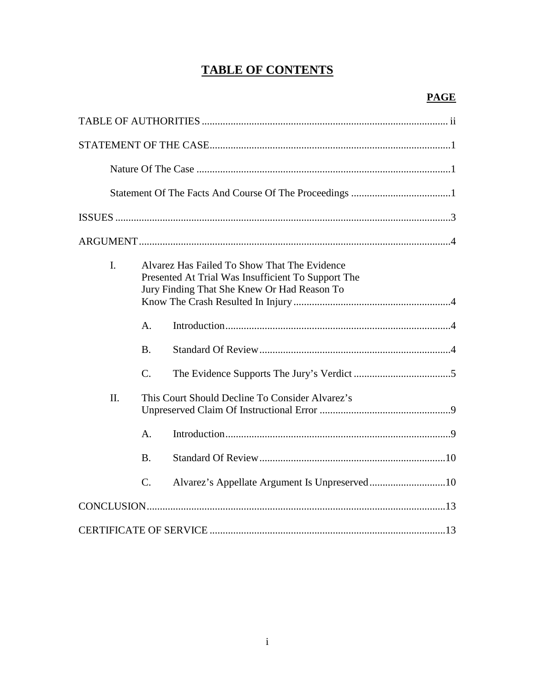# **TABLE OF CONTENTS**

| $\mathbf{I}$ . | Alvarez Has Failed To Show That The Evidence<br>Presented At Trial Was Insufficient To Support The<br>Jury Finding That She Knew Or Had Reason To |  |  |
|----------------|---------------------------------------------------------------------------------------------------------------------------------------------------|--|--|
|                | A.                                                                                                                                                |  |  |
|                | <b>B.</b>                                                                                                                                         |  |  |
|                | $\mathcal{C}$ .                                                                                                                                   |  |  |
| $\Pi$ .        | This Court Should Decline To Consider Alvarez's                                                                                                   |  |  |
|                | A.                                                                                                                                                |  |  |
|                | <b>B.</b>                                                                                                                                         |  |  |
|                | $\mathcal{C}$ .                                                                                                                                   |  |  |
|                |                                                                                                                                                   |  |  |
|                |                                                                                                                                                   |  |  |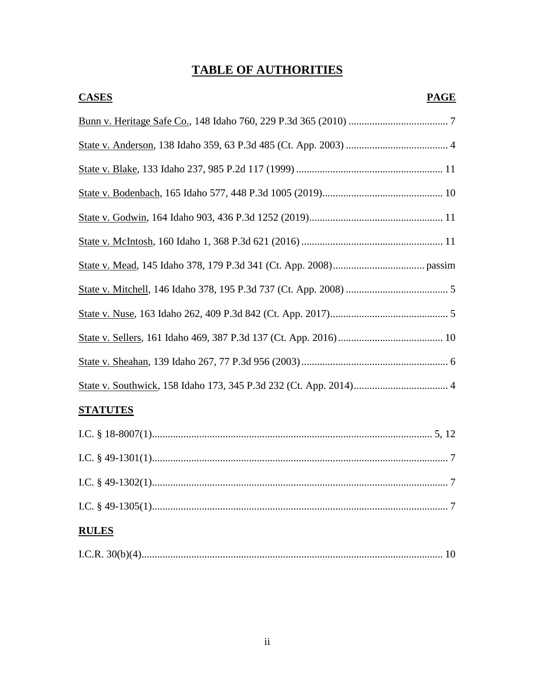# **TABLE OF AUTHORITIES**

| <b>CASES</b>    | <b>PAGE</b> |
|-----------------|-------------|
|                 |             |
|                 |             |
|                 |             |
|                 |             |
|                 |             |
|                 |             |
|                 |             |
|                 |             |
|                 |             |
|                 |             |
|                 |             |
|                 |             |
| <b>STATUTES</b> |             |
|                 |             |
|                 |             |

| <b>RULES</b> |  |
|--------------|--|
|              |  |
|              |  |
|              |  |

|--|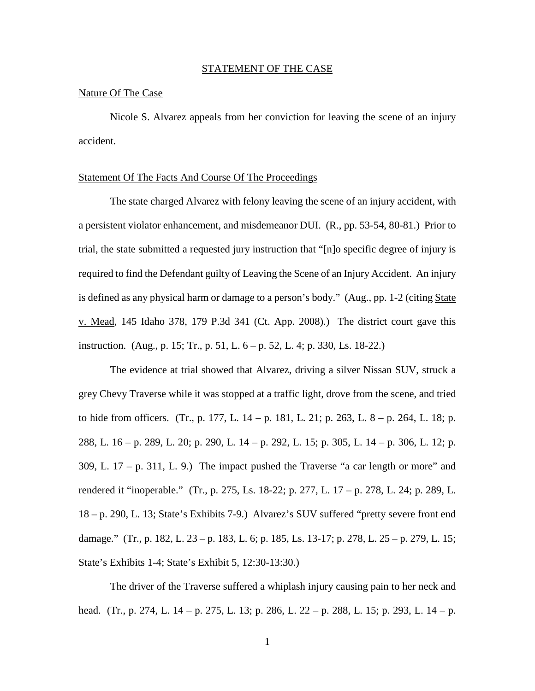### STATEMENT OF THE CASE

### Nature Of The Case

Nicole S. Alvarez appeals from her conviction for leaving the scene of an injury accident.

### Statement Of The Facts And Course Of The Proceedings

The state charged Alvarez with felony leaving the scene of an injury accident, with a persistent violator enhancement, and misdemeanor DUI. (R., pp. 53-54, 80-81.) Prior to trial, the state submitted a requested jury instruction that "[n]o specific degree of injury is required to find the Defendant guilty of Leaving the Scene of an Injury Accident. An injury is defined as any physical harm or damage to a person's body." (Aug., pp. 1-2 (citing State v. Mead, 145 Idaho 378, 179 P.3d 341 (Ct. App. 2008).) The district court gave this instruction. (Aug., p. 15; Tr., p. 51, L. 6 – p. 52, L. 4; p. 330, Ls. 18-22.)

The evidence at trial showed that Alvarez, driving a silver Nissan SUV, struck a grey Chevy Traverse while it was stopped at a traffic light, drove from the scene, and tried to hide from officers. (Tr., p. 177, L. 14 – p. 181, L. 21; p. 263, L. 8 – p. 264, L. 18; p. 288, L. 16 – p. 289, L. 20; p. 290, L. 14 – p. 292, L. 15; p. 305, L. 14 – p. 306, L. 12; p.  $309$ , L.  $17 - p$ .  $311$ , L.  $9$ .) The impact pushed the Traverse "a car length or more" and rendered it "inoperable." (Tr., p. 275, Ls. 18-22; p. 277, L. 17 – p. 278, L. 24; p. 289, L. 18 – p. 290, L. 13; State's Exhibits 7-9.) Alvarez's SUV suffered "pretty severe front end damage." (Tr., p. 182, L. 23 – p. 183, L. 6; p. 185, Ls. 13-17; p. 278, L. 25 – p. 279, L. 15; State's Exhibits 1-4; State's Exhibit 5, 12:30-13:30.)

The driver of the Traverse suffered a whiplash injury causing pain to her neck and head. (Tr., p. 274, L. 14 – p. 275, L. 13; p. 286, L. 22 – p. 288, L. 15; p. 293, L. 14 – p.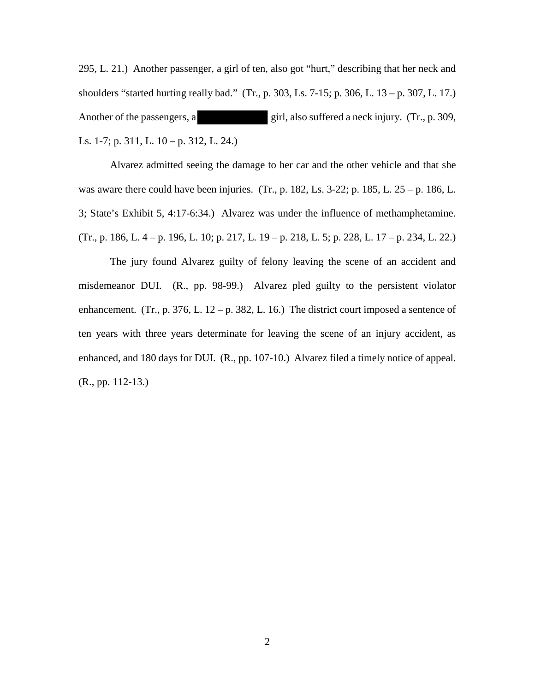295, L. 21.) Another passenger, a girl of ten, also got "hurt," describing that her neck and shoulders "started hurting really bad." (Tr., p. 303, Ls. 7-15; p. 306, L. 13 – p. 307, L. 17.) Another of the passengers, a girl, also suffered a neck injury. (Tr., p. 309, Ls. 1-7; p. 311, L. 10 – p. 312, L. 24.)

Alvarez admitted seeing the damage to her car and the other vehicle and that she was aware there could have been injuries. (Tr., p. 182, Ls. 3-22; p. 185, L.  $25 - p$ . 186, L. 3; State's Exhibit 5, 4:17-6:34.) Alvarez was under the influence of methamphetamine. (Tr., p. 186, L. 4 – p. 196, L. 10; p. 217, L. 19 – p. 218, L. 5; p. 228, L. 17 – p. 234, L. 22.)

The jury found Alvarez guilty of felony leaving the scene of an accident and misdemeanor DUI. (R., pp. 98-99.) Alvarez pled guilty to the persistent violator enhancement. (Tr., p. 376, L.  $12 - p$ . 382, L. 16.) The district court imposed a sentence of ten years with three years determinate for leaving the scene of an injury accident, as enhanced, and 180 days for DUI. (R., pp. 107-10.) Alvarez filed a timely notice of appeal. (R., pp. 112-13.)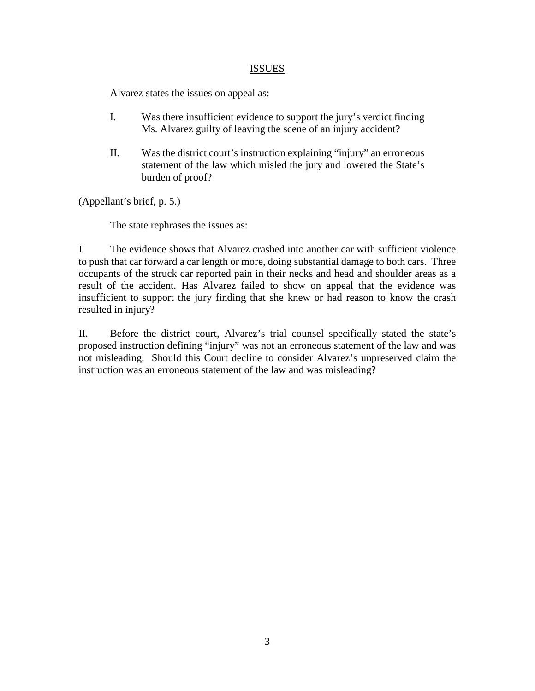# ISSUES

Alvarez states the issues on appeal as:

- I. Was there insufficient evidence to support the jury's verdict finding Ms. Alvarez guilty of leaving the scene of an injury accident?
- II. Was the district court's instruction explaining "injury" an erroneous statement of the law which misled the jury and lowered the State's burden of proof?

(Appellant's brief, p. 5.)

The state rephrases the issues as:

I. The evidence shows that Alvarez crashed into another car with sufficient violence to push that car forward a car length or more, doing substantial damage to both cars. Three occupants of the struck car reported pain in their necks and head and shoulder areas as a result of the accident. Has Alvarez failed to show on appeal that the evidence was insufficient to support the jury finding that she knew or had reason to know the crash resulted in injury?

II. Before the district court, Alvarez's trial counsel specifically stated the state's proposed instruction defining "injury" was not an erroneous statement of the law and was not misleading. Should this Court decline to consider Alvarez's unpreserved claim the instruction was an erroneous statement of the law and was misleading?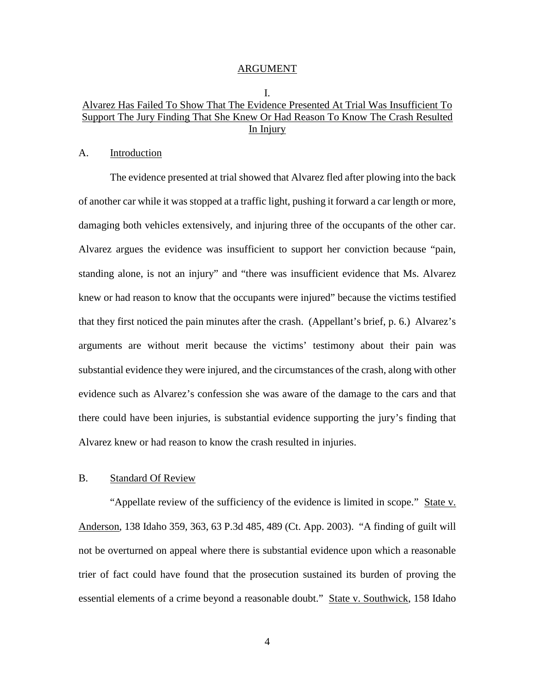#### ARGUMENT

I.

# Alvarez Has Failed To Show That The Evidence Presented At Trial Was Insufficient To Support The Jury Finding That She Knew Or Had Reason To Know The Crash Resulted In Injury

### A. Introduction

The evidence presented at trial showed that Alvarez fled after plowing into the back of another car while it was stopped at a traffic light, pushing it forward a car length or more, damaging both vehicles extensively, and injuring three of the occupants of the other car. Alvarez argues the evidence was insufficient to support her conviction because "pain, standing alone, is not an injury" and "there was insufficient evidence that Ms. Alvarez knew or had reason to know that the occupants were injured" because the victims testified that they first noticed the pain minutes after the crash. (Appellant's brief, p. 6.) Alvarez's arguments are without merit because the victims' testimony about their pain was substantial evidence they were injured, and the circumstances of the crash, along with other evidence such as Alvarez's confession she was aware of the damage to the cars and that there could have been injuries, is substantial evidence supporting the jury's finding that Alvarez knew or had reason to know the crash resulted in injuries.

### B. Standard Of Review

"Appellate review of the sufficiency of the evidence is limited in scope." State v. Anderson, 138 Idaho 359, 363, 63 P.3d 485, 489 (Ct. App. 2003). "A finding of guilt will not be overturned on appeal where there is substantial evidence upon which a reasonable trier of fact could have found that the prosecution sustained its burden of proving the essential elements of a crime beyond a reasonable doubt." State v. Southwick, 158 Idaho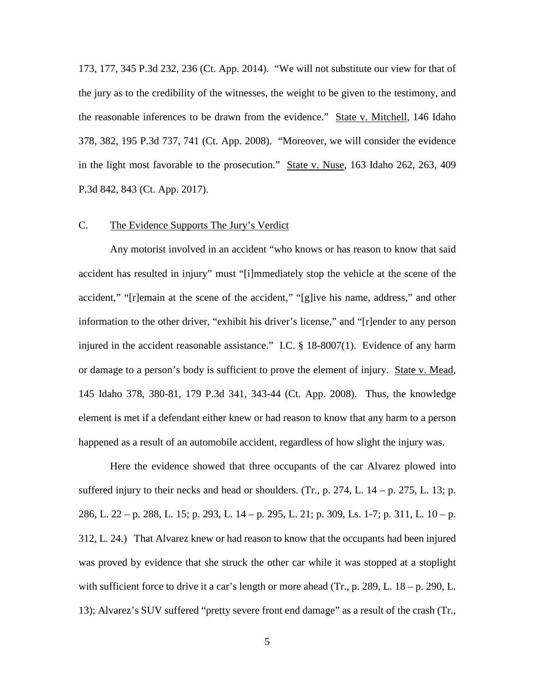173, 177, 345 P.3d 232, 236 (Ct. App. 2014). "We will not substitute our view for that of the jury as to the credibility of the witnesses, the weight to be given to the testimony, and the reasonable inferences to be drawn from the evidence." State v. Mitchell, 146 Idaho 378, 382, 195 P.3d 737, 741 (Ct. App. 2008). "Moreover, we will consider the evidence in the light most favorable to the prosecution." State v. Nuse, 163 Idaho 262, 263, 409 P.3d 842, 843 (Ct. App. 2017).

## C. The Evidence Supports The Jury's Verdict

Any motorist involved in an accident "who knows or has reason to know that said accident has resulted in injury" must "[i]mmediately stop the vehicle at the scene of the accident," "[r]emain at the scene of the accident," "[g]ive his name, address," and other information to the other driver, "exhibit his driver's license," and "[r]ender to any person injured in the accident reasonable assistance." I.C. § 18-8007(1). Evidence of any harm or damage to a person's body is sufficient to prove the element of injury. State v. Mead, 145 Idaho 378, 380-81, 179 P.3d 341, 343-44 (Ct. App. 2008). Thus, the knowledge element is met if a defendant either knew or had reason to know that any harm to a person happened as a result of an automobile accident, regardless of how slight the injury was.

Here the evidence showed that three occupants of the car Alvarez plowed into suffered injury to their necks and head or shoulders. (Tr., p. 274, L.  $14 - p$ . 275, L. 13; p. 286, L. 22 – p. 288, L. 15; p. 293, L. 14 – p. 295, L. 21; p. 309, Ls. 1-7; p. 311, L. 10 – p. 312, L. 24.) That Alvarez knew or had reason to know that the occupants had been injured was proved by evidence that she struck the other car while it was stopped at a stoplight with sufficient force to drive it a car's length or more ahead (Tr., p. 289, L. 18 – p. 290, L. 13); Alvarez's SUV suffered "pretty severe front end damage" as a result of the crash (Tr.,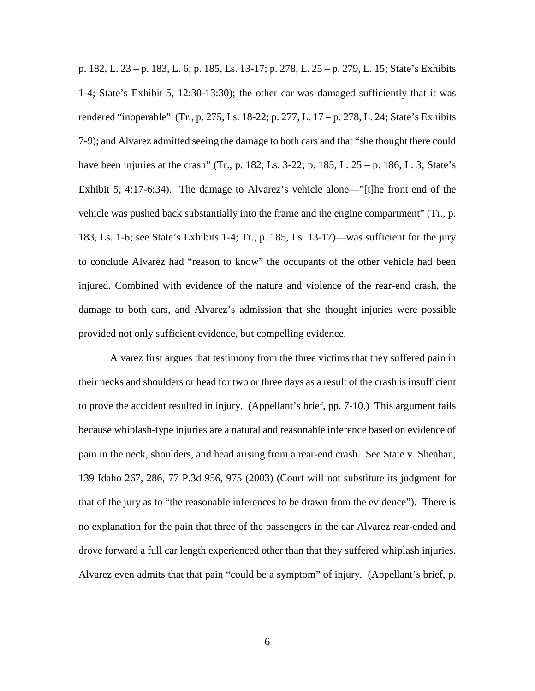p. 182, L. 23 – p. 183, L. 6; p. 185, Ls. 13-17; p. 278, L. 25 – p. 279, L. 15; State's Exhibits 1-4; State's Exhibit 5, 12:30-13:30); the other car was damaged sufficiently that it was rendered "inoperable" (Tr., p. 275, Ls. 18-22; p. 277, L. 17 – p. 278, L. 24; State's Exhibits 7-9); and Alvarez admitted seeing the damage to both cars and that "she thought there could have been injuries at the crash" (Tr., p. 182, Ls. 3-22; p. 185, L. 25 – p. 186, L. 3; State's Exhibit 5, 4:17-6:34). The damage to Alvarez's vehicle alone—"[t]he front end of the vehicle was pushed back substantially into the frame and the engine compartment" (Tr., p. 183, Ls. 1-6; see State's Exhibits 1-4; Tr., p. 185, Ls. 13-17)—was sufficient for the jury to conclude Alvarez had "reason to know" the occupants of the other vehicle had been injured. Combined with evidence of the nature and violence of the rear-end crash, the damage to both cars, and Alvarez's admission that she thought injuries were possible provided not only sufficient evidence, but compelling evidence.

Alvarez first argues that testimony from the three victims that they suffered pain in their necks and shoulders or head for two or three days as a result of the crash is insufficient to prove the accident resulted in injury. (Appellant's brief, pp. 7-10.) This argument fails because whiplash-type injuries are a natural and reasonable inference based on evidence of pain in the neck, shoulders, and head arising from a rear-end crash. See State v. Sheahan, 139 Idaho 267, 286, 77 P.3d 956, 975 (2003) (Court will not substitute its judgment for that of the jury as to "the reasonable inferences to be drawn from the evidence"). There is no explanation for the pain that three of the passengers in the car Alvarez rear-ended and drove forward a full car length experienced other than that they suffered whiplash injuries. Alvarez even admits that that pain "could be a symptom" of injury. (Appellant's brief, p.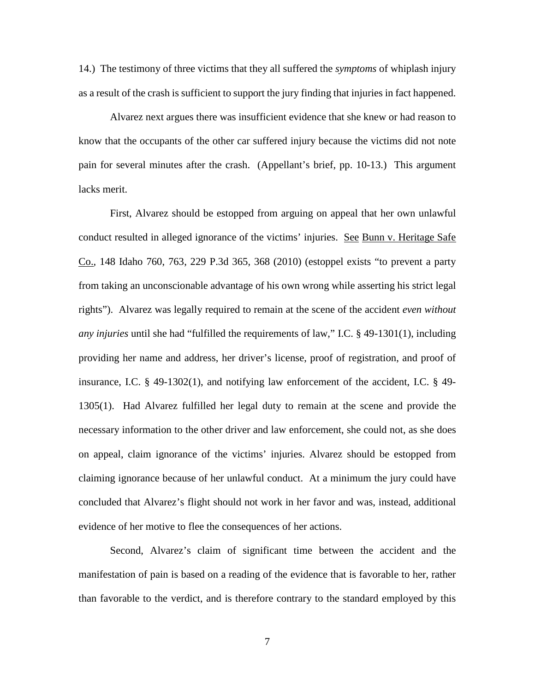14.) The testimony of three victims that they all suffered the *symptoms* of whiplash injury as a result of the crash is sufficient to support the jury finding that injuries in fact happened.

 Alvarez next argues there was insufficient evidence that she knew or had reason to know that the occupants of the other car suffered injury because the victims did not note pain for several minutes after the crash. (Appellant's brief, pp. 10-13.) This argument lacks merit.

First, Alvarez should be estopped from arguing on appeal that her own unlawful conduct resulted in alleged ignorance of the victims' injuries. See Bunn v. Heritage Safe Co., 148 Idaho 760, 763, 229 P.3d 365, 368 (2010) (estoppel exists "to prevent a party from taking an unconscionable advantage of his own wrong while asserting his strict legal rights"). Alvarez was legally required to remain at the scene of the accident *even without any injuries* until she had "fulfilled the requirements of law," I.C. § 49-1301(1), including providing her name and address, her driver's license, proof of registration, and proof of insurance, I.C.  $\S$  49-1302(1), and notifying law enforcement of the accident, I.C.  $\S$  49-1305(1). Had Alvarez fulfilled her legal duty to remain at the scene and provide the necessary information to the other driver and law enforcement, she could not, as she does on appeal, claim ignorance of the victims' injuries. Alvarez should be estopped from claiming ignorance because of her unlawful conduct. At a minimum the jury could have concluded that Alvarez's flight should not work in her favor and was, instead, additional evidence of her motive to flee the consequences of her actions.

Second, Alvarez's claim of significant time between the accident and the manifestation of pain is based on a reading of the evidence that is favorable to her, rather than favorable to the verdict, and is therefore contrary to the standard employed by this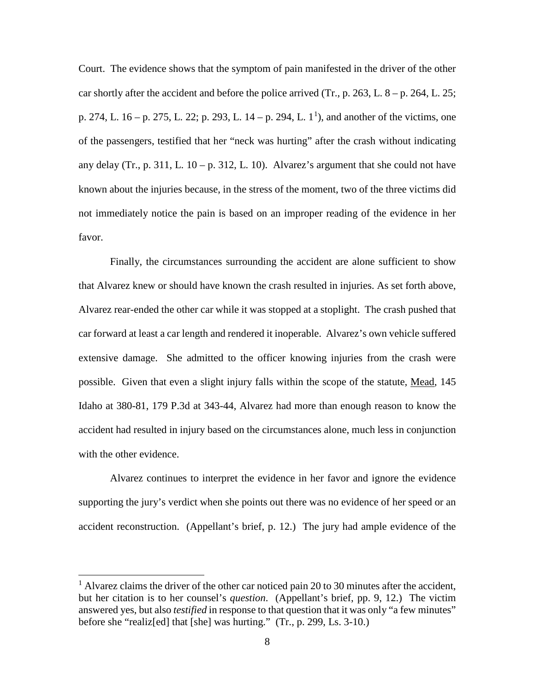Court. The evidence shows that the symptom of pain manifested in the driver of the other car shortly after the accident and before the police arrived (Tr., p. 263, L.  $8 - p$ . 264, L. 25; p. 274, L.  $16 - p$  $16 - p$ . 275, L. 22; p. 293, L.  $14 - p$ . 294, L.  $1<sup>1</sup>$ ), and another of the victims, one of the passengers, testified that her "neck was hurting" after the crash without indicating any delay (Tr., p. 311, L.  $10 - p$ . 312, L. 10). Alvarez's argument that she could not have known about the injuries because, in the stress of the moment, two of the three victims did not immediately notice the pain is based on an improper reading of the evidence in her favor.

Finally, the circumstances surrounding the accident are alone sufficient to show that Alvarez knew or should have known the crash resulted in injuries. As set forth above, Alvarez rear-ended the other car while it was stopped at a stoplight. The crash pushed that car forward at least a car length and rendered it inoperable. Alvarez's own vehicle suffered extensive damage. She admitted to the officer knowing injuries from the crash were possible. Given that even a slight injury falls within the scope of the statute, Mead, 145 Idaho at 380-81, 179 P.3d at 343-44, Alvarez had more than enough reason to know the accident had resulted in injury based on the circumstances alone, much less in conjunction with the other evidence.

Alvarez continues to interpret the evidence in her favor and ignore the evidence supporting the jury's verdict when she points out there was no evidence of her speed or an accident reconstruction. (Appellant's brief, p. 12.) The jury had ample evidence of the

 $\overline{a}$ 

<span id="page-11-0"></span> $<sup>1</sup>$  Alvarez claims the driver of the other car noticed pain 20 to 30 minutes after the accident,</sup> but her citation is to her counsel's *question*. (Appellant's brief, pp. 9, 12.) The victim answered yes, but also *testified* in response to that question that it was only "a few minutes" before she "realiz[ed] that [she] was hurting." (Tr., p. 299, Ls. 3-10.)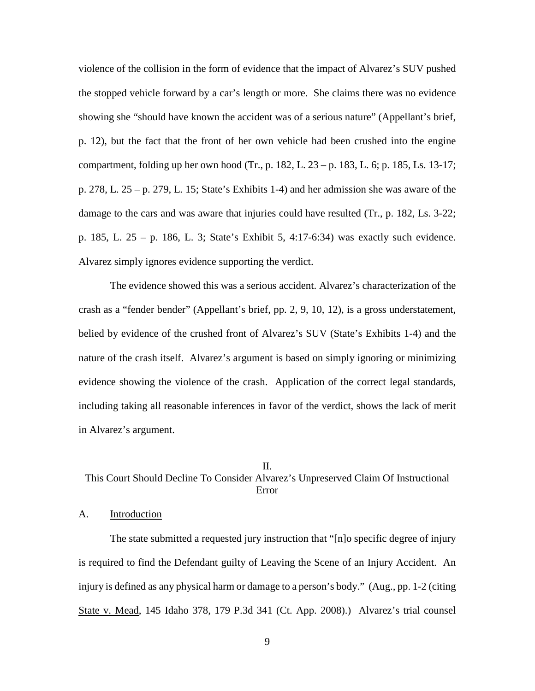violence of the collision in the form of evidence that the impact of Alvarez's SUV pushed the stopped vehicle forward by a car's length or more. She claims there was no evidence showing she "should have known the accident was of a serious nature" (Appellant's brief, p. 12), but the fact that the front of her own vehicle had been crushed into the engine compartment, folding up her own hood (Tr., p.  $182$ , L.  $23 - p$ .  $183$ , L. 6; p.  $185$ , Ls.  $13-17$ ; p. 278, L. 25 – p. 279, L. 15; State's Exhibits 1-4) and her admission she was aware of the damage to the cars and was aware that injuries could have resulted (Tr., p. 182, Ls. 3-22; p. 185, L. 25 – p. 186, L. 3; State's Exhibit 5, 4:17-6:34) was exactly such evidence. Alvarez simply ignores evidence supporting the verdict.

The evidence showed this was a serious accident. Alvarez's characterization of the crash as a "fender bender" (Appellant's brief, pp. 2, 9, 10, 12), is a gross understatement, belied by evidence of the crushed front of Alvarez's SUV (State's Exhibits 1-4) and the nature of the crash itself. Alvarez's argument is based on simply ignoring or minimizing evidence showing the violence of the crash. Application of the correct legal standards, including taking all reasonable inferences in favor of the verdict, shows the lack of merit in Alvarez's argument.

# II. This Court Should Decline To Consider Alvarez's Unpreserved Claim Of Instructional Error

## A. Introduction

 The state submitted a requested jury instruction that "[n]o specific degree of injury is required to find the Defendant guilty of Leaving the Scene of an Injury Accident. An injury is defined as any physical harm or damage to a person's body." (Aug., pp. 1-2 (citing State v. Mead, 145 Idaho 378, 179 P.3d 341 (Ct. App. 2008).) Alvarez's trial counsel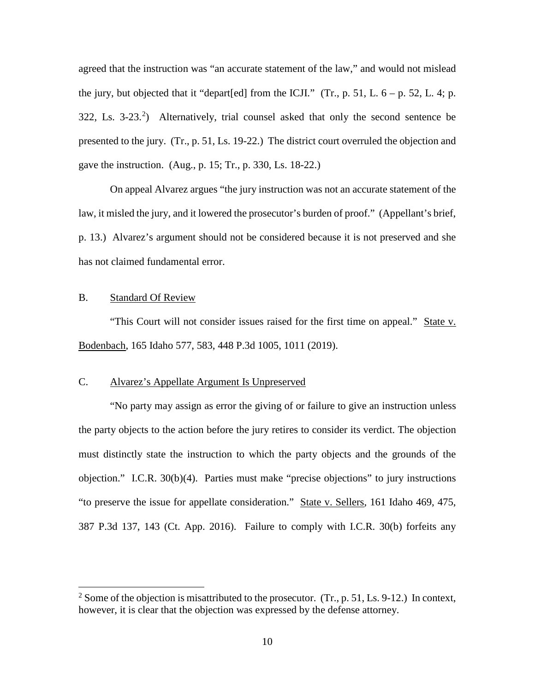agreed that the instruction was "an accurate statement of the law," and would not mislead the jury, but objected that it "depart[ed] from the ICJI." (Tr., p. 51, L.  $6 - p$ . 52, L. 4; p.  $322$  $322$  $322$ , Ls.  $3-23$ <sup>2</sup>) Alternatively, trial counsel asked that only the second sentence be presented to the jury. (Tr., p. 51, Ls. 19-22.) The district court overruled the objection and gave the instruction. (Aug., p. 15; Tr., p. 330, Ls. 18-22.)

On appeal Alvarez argues "the jury instruction was not an accurate statement of the law, it misled the jury, and it lowered the prosecutor's burden of proof." (Appellant's brief, p. 13.) Alvarez's argument should not be considered because it is not preserved and she has not claimed fundamental error.

# B. Standard Of Review

 $\overline{a}$ 

 "This Court will not consider issues raised for the first time on appeal." State v. Bodenbach, 165 Idaho 577, 583, 448 P.3d 1005, 1011 (2019).

# C. Alvarez's Appellate Argument Is Unpreserved

 "No party may assign as error the giving of or failure to give an instruction unless the party objects to the action before the jury retires to consider its verdict. The objection must distinctly state the instruction to which the party objects and the grounds of the objection." I.C.R. 30(b)(4). Parties must make "precise objections" to jury instructions "to preserve the issue for appellate consideration." State v. Sellers, 161 Idaho 469, 475, 387 P.3d 137, 143 (Ct. App. 2016). Failure to comply with I.C.R. 30(b) forfeits any

<span id="page-13-0"></span><sup>&</sup>lt;sup>2</sup> Some of the objection is misattributed to the prosecutor. (Tr., p. 51, Ls. 9-12.) In context, however, it is clear that the objection was expressed by the defense attorney.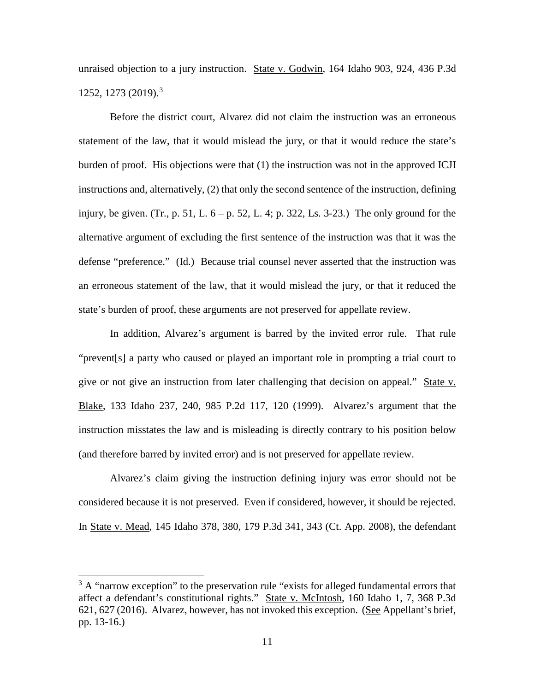unraised objection to a jury instruction. State v. Godwin, 164 Idaho 903, 924, 436 P.3d 1252, 1273 (2019).[3](#page-14-0)

Before the district court, Alvarez did not claim the instruction was an erroneous statement of the law, that it would mislead the jury, or that it would reduce the state's burden of proof. His objections were that (1) the instruction was not in the approved ICJI instructions and, alternatively, (2) that only the second sentence of the instruction, defining injury, be given. (Tr., p. 51, L.  $6 - p$ . 52, L. 4; p. 322, Ls. 3-23.) The only ground for the alternative argument of excluding the first sentence of the instruction was that it was the defense "preference." (Id.) Because trial counsel never asserted that the instruction was an erroneous statement of the law, that it would mislead the jury, or that it reduced the state's burden of proof, these arguments are not preserved for appellate review.

In addition, Alvarez's argument is barred by the invited error rule. That rule "prevent[s] a party who caused or played an important role in prompting a trial court to give or not give an instruction from later challenging that decision on appeal." State v. Blake, 133 Idaho 237, 240, 985 P.2d 117, 120 (1999). Alvarez's argument that the instruction misstates the law and is misleading is directly contrary to his position below (and therefore barred by invited error) and is not preserved for appellate review.

Alvarez's claim giving the instruction defining injury was error should not be considered because it is not preserved. Even if considered, however, it should be rejected. In State v. Mead, 145 Idaho 378, 380, 179 P.3d 341, 343 (Ct. App. 2008), the defendant

 $\overline{a}$ 

<span id="page-14-0"></span> $3 A$  "narrow exception" to the preservation rule "exists for alleged fundamental errors that affect a defendant's constitutional rights." State v. McIntosh, 160 Idaho 1, 7, 368 P.3d 621, 627 (2016). Alvarez, however, has not invoked this exception. (See Appellant's brief, pp. 13-16.)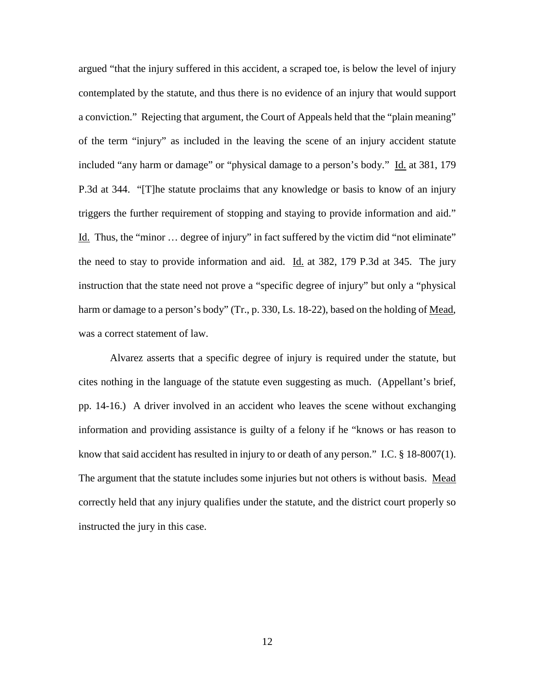argued "that the injury suffered in this accident, a scraped toe, is below the level of injury contemplated by the statute, and thus there is no evidence of an injury that would support a conviction." Rejecting that argument, the Court of Appeals held that the "plain meaning" of the term "injury" as included in the leaving the scene of an injury accident statute included "any harm or damage" or "physical damage to a person's body." Id. at 381, 179 P.3d at 344. "[T]he statute proclaims that any knowledge or basis to know of an injury triggers the further requirement of stopping and staying to provide information and aid." Id. Thus, the "minor … degree of injury" in fact suffered by the victim did "not eliminate" the need to stay to provide information and aid. Id. at 382, 179 P.3d at 345. The jury instruction that the state need not prove a "specific degree of injury" but only a "physical harm or damage to a person's body" (Tr., p. 330, Ls. 18-22), based on the holding of Mead, was a correct statement of law.

Alvarez asserts that a specific degree of injury is required under the statute, but cites nothing in the language of the statute even suggesting as much. (Appellant's brief, pp. 14-16.) A driver involved in an accident who leaves the scene without exchanging information and providing assistance is guilty of a felony if he "knows or has reason to know that said accident has resulted in injury to or death of any person." I.C. § 18-8007(1). The argument that the statute includes some injuries but not others is without basis. Mead correctly held that any injury qualifies under the statute, and the district court properly so instructed the jury in this case.